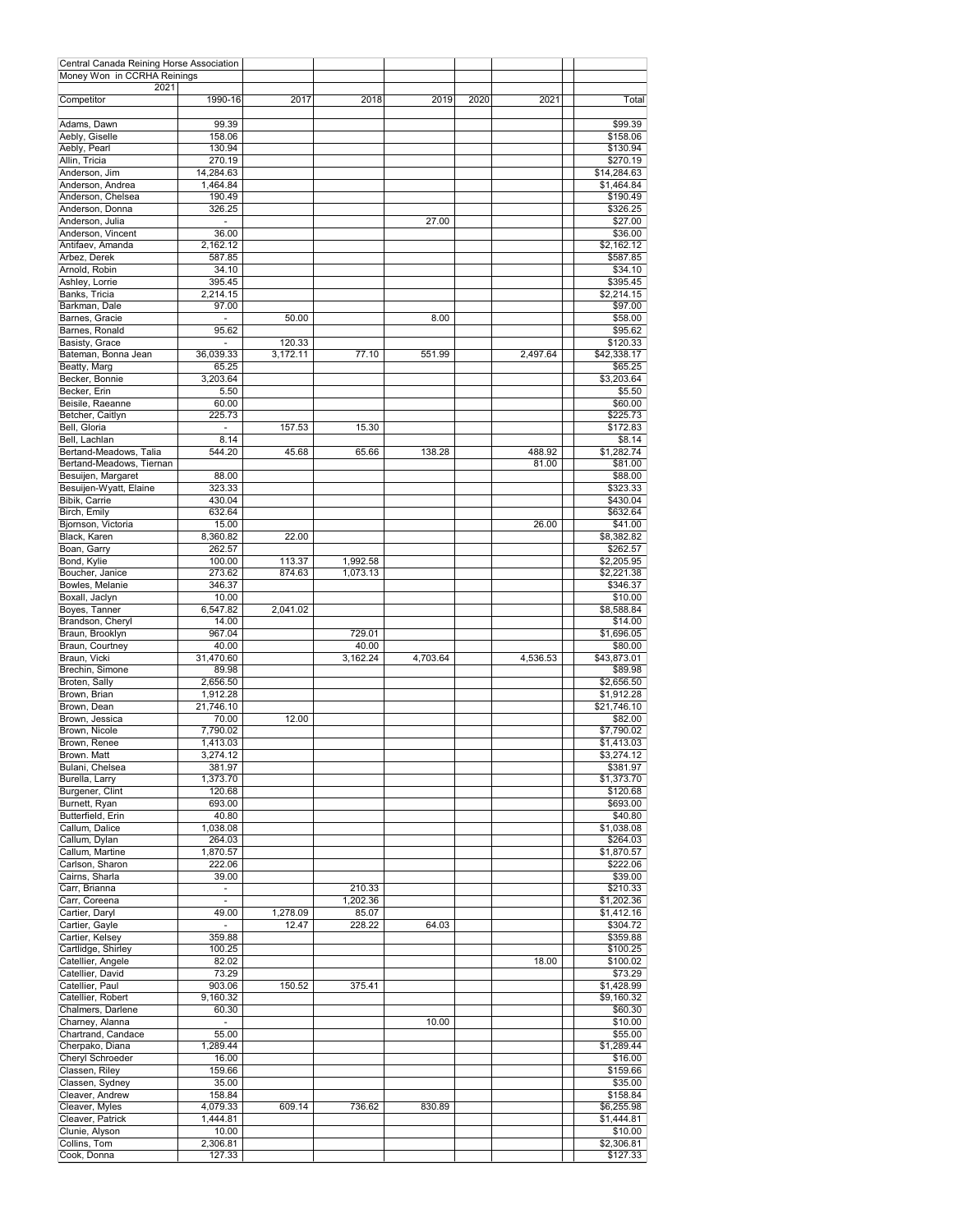| Central Canada Reining Horse Association |                          |          |          |          |      |          |                    |
|------------------------------------------|--------------------------|----------|----------|----------|------|----------|--------------------|
| Money Won in CCRHA Reinings              |                          |          |          |          |      |          |                    |
| 2021                                     |                          |          |          |          |      |          |                    |
| Competitor                               | 1990-16                  | 2017     | 2018     | 2019     | 2020 | 2021     | Total              |
| Adams, Dawn                              | 99.39                    |          |          |          |      |          | \$99.39            |
| Aebly, Giselle                           | 158.06                   |          |          |          |      |          | \$158.06           |
| Aebly, Pearl                             | 130.94                   |          |          |          |      |          | \$130.94           |
| Allin, Tricia                            | 270.19                   |          |          |          |      |          | \$270.19           |
| Anderson, Jim                            | 14,284.63                |          |          |          |      |          | \$14,284.63        |
| Anderson, Andrea                         | 1,464.84                 |          |          |          |      |          | \$1,464.84         |
| Anderson, Chelsea                        | 190.49                   |          |          |          |      |          | \$190.49           |
| Anderson, Donna                          | 326.25                   |          |          |          |      |          |                    |
|                                          |                          |          |          |          |      |          | \$326.25           |
| Anderson, Julia                          |                          |          |          | 27.00    |      |          | \$27.00            |
| Anderson, Vincent                        | 36.00                    |          |          |          |      |          | \$36.00            |
| Antifaev, Amanda                         | 2,162.12                 |          |          |          |      |          | \$2,162.12         |
| Arbez, Derek                             | 587.85                   |          |          |          |      |          | \$587.85           |
| Arnold, Robin                            | 34.10                    |          |          |          |      |          | \$34.10            |
| Ashley, Lorrie                           | 395.45                   |          |          |          |      |          | \$395.45           |
| Banks, Tricia                            | 2,214.15                 |          |          |          |      |          | \$2,214.15         |
| Barkman, Dale                            | 97.00                    |          |          |          |      |          | \$97.00            |
| Barnes, Gracie                           | ٠                        | 50.00    |          | 8.00     |      |          | \$58.00            |
| Barnes, Ronald                           | 95.62                    |          |          |          |      |          | \$95.62            |
| Basisty, Grace                           | $\tilde{\phantom{a}}$    | 120.33   |          |          |      |          | \$120.33           |
| Bateman, Bonna Jean                      | 36,039.33                | 3,172.11 | 77.10    | 551.99   |      | 2,497.64 | \$42,338.17        |
| Beatty, Marg                             | 65.25                    |          |          |          |      |          | \$65.25            |
| Becker, Bonnie                           | 3.203.64                 |          |          |          |      |          | \$3,203.64         |
| Becker, Erin                             | 5.50                     |          |          |          |      |          | \$5.50             |
| Beisile, Raeanne                         | 60.00                    |          |          |          |      |          | \$60.00            |
| Betcher, Caitlyn                         | 225.73                   |          |          |          |      |          | \$225.73           |
|                                          |                          |          |          |          |      |          |                    |
| Bell, Gloria                             |                          | 157.53   | 15.30    |          |      |          | \$172.83           |
| Bell, Lachlan                            | 8.14                     |          |          |          |      |          | \$8.14             |
| Bertand-Meadows, Talia                   | 544.20                   | 45.68    | 65.66    | 138.28   |      | 488.92   | \$1,282.74         |
| Bertand-Meadows, Tiernan                 |                          |          |          |          |      | 81.00    | \$81.00            |
| Besuijen, Margaret                       | 88.00                    |          |          |          |      |          | \$88.00            |
| Besuijen-Wyatt, Elaine                   | 323.33                   |          |          |          |      |          | \$323.33           |
| Bibik, Carrie                            | 430.04                   |          |          |          |      |          | \$430.04           |
| Birch, Emily                             | 632.64                   |          |          |          |      |          | \$632.64           |
| Biornson, Victoria                       | 15.00                    |          |          |          |      | 26.00    | \$41.00            |
| Black, Karen                             | 8,360.82                 | 22.00    |          |          |      |          | \$8,382.82         |
| Boan, Garry                              | 262.57                   |          |          |          |      |          | \$262.57           |
| Bond, Kylie                              | 100.00                   | 113.37   | 1,992.58 |          |      |          | \$2,205.95         |
| Boucher, Janice                          | 273.62                   | 874.63   | 1,073.13 |          |      |          | \$2,221.38         |
| Bowles, Melanie                          | 346.37                   |          |          |          |      |          | \$346.37           |
| Boxall, Jaclyn                           | 10.00                    |          |          |          |      |          | \$10.00            |
| Boyes, Tanner                            | 6,547.82                 | 2,041.02 |          |          |      |          | \$8,588.84         |
|                                          |                          |          |          |          |      |          |                    |
| Brandson, Cheryl                         | 14.00                    |          |          |          |      |          | \$14.00            |
| Braun, Brooklyn                          | 967.04                   |          | 729.01   |          |      |          | \$1,696.05         |
| Braun, Courtney                          | 40.00                    |          | 40.00    |          |      |          | \$80.00            |
| Braun, Vicki                             | 31.470.60                |          | 3,162.24 | 4,703.64 |      | 4,536.53 | \$43,873.01        |
| Brechin, Simone                          | 89.98                    |          |          |          |      |          | \$89.98            |
| Broten, Sally                            | 2,656.50                 |          |          |          |      |          | \$2,656.50         |
| Brown, Brian                             | 1,912.28                 |          |          |          |      |          | \$1,912.28         |
| Brown, Dean                              | 21,746.10                |          |          |          |      |          | \$21,746.10        |
| Brown, Jessica                           | 70.00                    | 12.00    |          |          |      |          | \$82.00            |
| Brown, Nicole                            | 7,790.02                 |          |          |          |      |          | \$7,790.02         |
| Brown, Renee                             | 1,413.03                 |          |          |          |      |          | \$1,413.03         |
| Brown. Matt                              | 3,274.12                 |          |          |          |      |          | \$3,274.12         |
| Bulani, Chelsea                          | 381.97                   |          |          |          |      |          | \$381.97           |
| Burella, Larry                           | 1,373.70                 |          |          |          |      |          | \$1,373.70         |
| Burgener, Clint                          | 120.68                   |          |          |          |      |          | \$120.68           |
| Burnett, Ryan                            | 693.00                   |          |          |          |      |          | \$693.00           |
| Butterfield, Erin                        | 40.80                    |          |          |          |      |          | \$40.80            |
|                                          | 1,038.08                 |          |          |          |      |          |                    |
| Callum, Dalice                           |                          |          |          |          |      |          | \$1,038.08         |
| Callum, Dylan                            | 264.03                   |          |          |          |      |          | \$264.03           |
| Callum, Martine                          | 1,870.57                 |          |          |          |      |          | \$1,870.57         |
| Carlson, Sharon                          | 222.06                   |          |          |          |      |          | \$222.06           |
| Cairns, Sharla                           | 39.00                    |          |          |          |      |          | \$39.00            |
| Carr, Brianna                            | ÷.                       |          | 210.33   |          |      |          | \$210.33           |
| Carr, Coreena                            | $\overline{\phantom{a}}$ |          | 1,202.36 |          |      |          | \$1,202.36         |
| Cartier, Daryl                           | 49.00                    | 1,278.09 | 85.07    |          |      |          | \$1,412.16         |
| Cartier, Gayle                           | $\blacksquare$           | 12.47    | 228.22   | 64.03    |      |          | \$304.72           |
| Cartier, Kelsey                          | 359.88                   |          |          |          |      |          | \$359.88           |
| Cartlidge, Shirley                       | 100.25                   |          |          |          |      |          | $\frac{1}{100.25}$ |
| Catellier, Angele                        | 82.02                    |          |          |          |      | 18.00    | \$100.02           |
| Catellier, David                         | 73.29                    |          |          |          |      |          | \$73.29            |
| Catellier, Paul                          | 903.06                   | 150.52   | 375.41   |          |      |          | \$1,428.99         |
| Catellier, Robert                        | 9,160.32                 |          |          |          |      |          | \$9,160.32         |
| Chalmers, Darlene                        | 60.30                    |          |          |          |      |          | \$60.30            |
| Charney, Alanna                          | $\overline{\phantom{a}}$ |          |          | 10.00    |      |          | \$10.00            |
| Chartrand, Candace                       | 55.00                    |          |          |          |      |          | \$55.00            |
|                                          |                          |          |          |          |      |          |                    |
| Cherpako, Diana                          | 1,289.44                 |          |          |          |      |          | \$1,289.44         |
| Cheryl Schroeder                         | 16.00                    |          |          |          |      |          | \$16.00            |
| Classen, Riley                           | 159.66                   |          |          |          |      |          | \$159.66           |
| Classen, Sydney                          | 35.00                    |          |          |          |      |          | \$35.00            |
| Cleaver, Andrew                          | 158.84                   |          |          |          |      |          | \$158.84           |
| Cleaver, Myles                           | 4,079.33                 | 609.14   | 736.62   | 830.89   |      |          | \$6,255.98         |
| Cleaver, Patrick                         | 1,444.81                 |          |          |          |      |          | \$1,444.81         |
| Clunie, Alyson                           | 10.00                    |          |          |          |      |          | \$10.00            |
| Collins, Tom                             | 2,306.81                 |          |          |          |      |          | \$2,306.81         |
| Cook, Donna                              | 127.33                   |          |          |          |      |          | \$127.33           |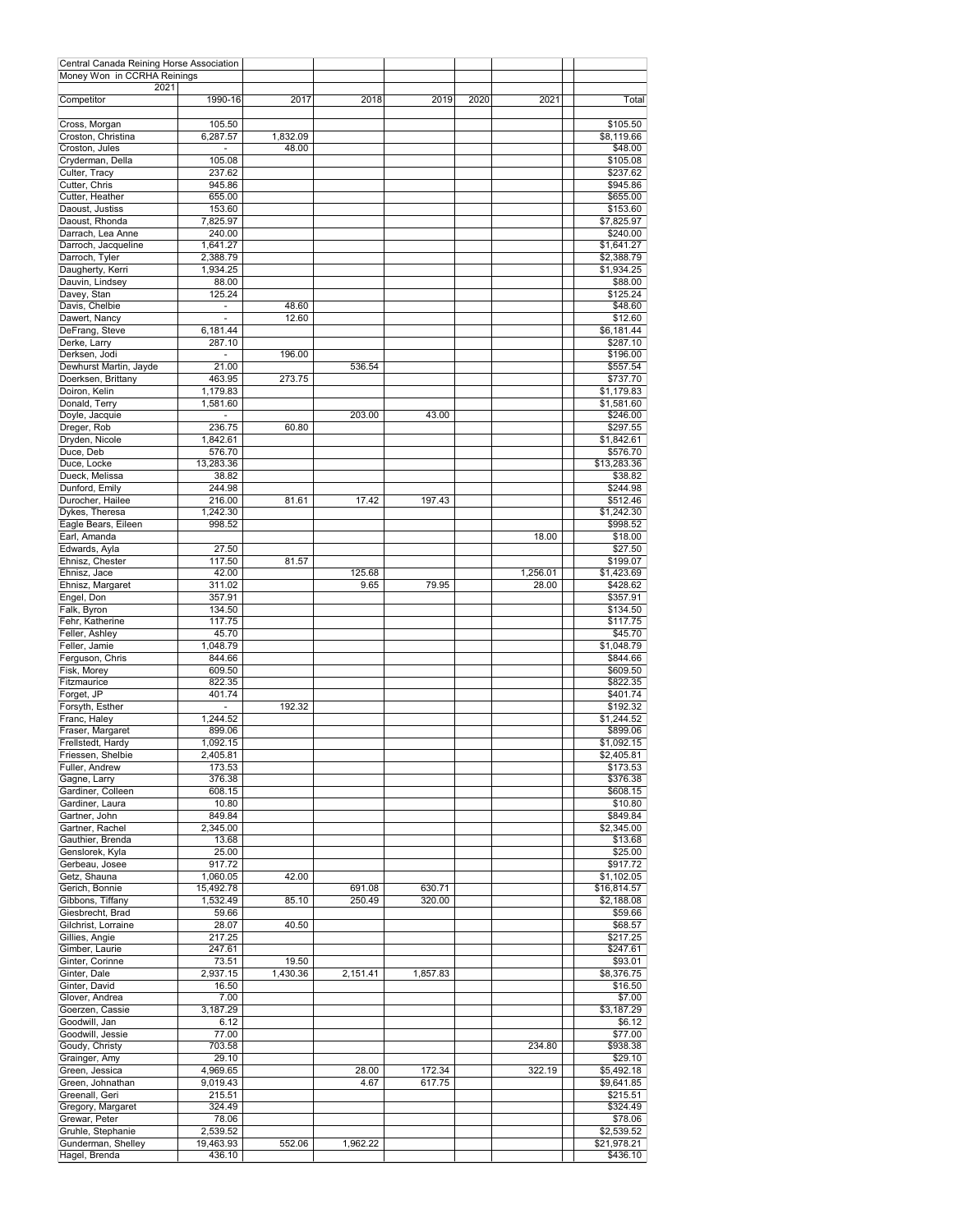| Central Canada Reining Horse Association |                      |                   |          |          |      |          |                          |
|------------------------------------------|----------------------|-------------------|----------|----------|------|----------|--------------------------|
| Money Won in CCRHA Reinings<br>2021      |                      |                   |          |          |      |          |                          |
| Competitor                               | 1990-16              | 2017              | 2018     | 2019     | 2020 | 2021     | Total                    |
| Cross, Morgan                            | 105.50               |                   |          |          |      |          | \$105.50                 |
| Croston, Christina<br>Croston, Jules     | 6,287.57             | 1,832.09<br>48.00 |          |          |      |          | \$8,119.66<br>\$48.00    |
| Cryderman, Della                         | 105.08               |                   |          |          |      |          | \$105.08                 |
| Culter, Tracy                            | 237.62               |                   |          |          |      |          | \$237.62                 |
| Cutter, Chris                            | 945.86<br>655.00     |                   |          |          |      |          | \$945.86                 |
| Cutter, Heather<br>Daoust, Justiss       | 153.60               |                   |          |          |      |          | \$655.00<br>\$153.60     |
| Daoust, Rhonda                           | 7,825.97             |                   |          |          |      |          | \$7,825.97               |
| Darrach. Lea Anne                        | 240.00               |                   |          |          |      |          | \$240.00                 |
| Darroch, Jacqueline                      | 1.641.27             |                   |          |          |      |          | \$1,641.27               |
| Darroch, Tyler                           | 2,388.79<br>1,934.25 |                   |          |          |      |          | \$2,388.79<br>\$1,934.25 |
| Daugherty, Kerri<br>Dauvin, Lindsey      | 88.00                |                   |          |          |      |          | \$88.00                  |
| Davey, Stan                              | 125.24               |                   |          |          |      |          | \$125.24                 |
| Davis, Chelbie                           |                      | 48.60             |          |          |      |          | \$48.60                  |
| Dawert, Nancy                            |                      | 12.60             |          |          |      |          | \$12.60                  |
| DeFrang, Steve<br>Derke, Larry           | 6,181.44<br>287.10   |                   |          |          |      |          | \$6,181.44<br>\$287.10   |
| Derksen, Jodi                            | $\sim$               | 196.00            |          |          |      |          | \$196.00                 |
| Dewhurst Martin, Jayde                   | 21.00                |                   | 536.54   |          |      |          | \$557.54                 |
| Doerksen, Brittany                       | 463.95               | 273.75            |          |          |      |          | \$737.70                 |
| Doiron, Kelin                            | 1,179.83             |                   |          |          |      |          | \$1,179.83               |
| Donald, Terry<br>Doyle, Jacquie          | 1,581.60<br>ä,       |                   | 203.00   | 43.00    |      |          | \$1,581.60<br>\$246.00   |
| Dreger, Rob                              | 236.75               | 60.80             |          |          |      |          | \$297.55                 |
| Dryden, Nicole                           | 1,842.61             |                   |          |          |      |          | \$1,842.61               |
| Duce, Deb                                | 576.70               |                   |          |          |      |          | \$576.70                 |
| Duce, Locke                              | 13,283.36            |                   |          |          |      |          | \$13,283.36              |
| Dueck, Melissa<br>Dunford, Emily         | 38.82<br>244.98      |                   |          |          |      |          | \$38.82                  |
| Durocher, Hailee                         | 216.00               | 81.61             | 17.42    | 197.43   |      |          | \$244.98<br>\$512.46     |
| Dykes, Theresa                           | 1,242.30             |                   |          |          |      |          | \$1,242.30               |
| Eagle Bears, Eileen                      | 998.52               |                   |          |          |      |          | \$998.52                 |
| Earl, Amanda                             |                      |                   |          |          |      | 18.00    | \$18.00                  |
| Edwards, Ayla                            | 27.50                | 81.57             |          |          |      |          | \$27.50                  |
| Ehnisz, Chester<br>Ehnisz, Jace          | 117.50<br>42.00      |                   | 125.68   |          |      | 1,256.01 | \$199.07<br>\$1,423.69   |
| Ehnisz, Margaret                         | 311.02               |                   | 9.65     | 79.95    |      | 28.00    | \$428.62                 |
| Engel, Don                               | 357.91               |                   |          |          |      |          | \$357.91                 |
| Falk, Byron                              | 134.50               |                   |          |          |      |          | \$134.50                 |
| Fehr, Katherine                          | 117.75               |                   |          |          |      |          | \$117.75                 |
| Feller, Ashley<br>Feller, Jamie          | 45.70<br>1,048.79    |                   |          |          |      |          | \$45.70<br>\$1,048.79    |
| Ferguson, Chris                          | 844.66               |                   |          |          |      |          | \$844.66                 |
| Fisk, Morey                              | 609.50               |                   |          |          |      |          | \$609.50                 |
| Fitzmaurice                              | 822.35               |                   |          |          |      |          | \$822.35                 |
| Forget, JP                               | 401.74               |                   |          |          |      |          | \$401.74                 |
| Forsyth, Esther<br>Franc, Haley          | 1,244.52             | 192.32            |          |          |      |          | \$192.32<br>\$1,244.52   |
| Fraser, Margaret                         | 899.06               |                   |          |          |      |          | \$899.06                 |
| Frellstedt, Hardy                        | 1,092.15             |                   |          |          |      |          | \$1,092.15               |
| Friessen, Shelbie                        | 2,405.81             |                   |          |          |      |          | \$2,405.81               |
| Fuller, Andrew                           | 173.53               |                   |          |          |      |          | \$173.53                 |
| Gagne, Larry<br>Gardiner, Colleen        | 376.38<br>608.15     |                   |          |          |      |          | \$376.38<br>\$608.15     |
| Gardiner, Laura                          | 10.80                |                   |          |          |      |          | \$10.80                  |
| Gartner, John                            | 849.84               |                   |          |          |      |          | \$849.84                 |
| Gartner, Rachel                          | 2,345.00             |                   |          |          |      |          | \$2,345.00               |
| Gauthier, Brenda                         | 13.68                |                   |          |          |      |          | \$13.68                  |
| Genslorek, Kyla<br>Gerbeau, Josee        | 25.00<br>917.72      |                   |          |          |      |          | \$25.00<br>\$917.72      |
| Getz, Shauna                             | 1,060.05             | 42.00             |          |          |      |          | \$1,102.05               |
| Gerich, Bonnie                           | 15,492.78            |                   | 691.08   | 630.71   |      |          | \$16,814.57              |
| Gibbons, Tiffany                         | 1,532.49             | 85.10             | 250.49   | 320.00   |      |          | \$2,188.08               |
| Giesbrecht, Brad                         | 59.66                |                   |          |          |      |          | \$59.66                  |
| Gilchrist, Lorraine<br>Gillies, Angie    | 28.07<br>217.25      | 40.50             |          |          |      |          | \$68.57<br>\$217.25      |
| Gimber, Laurie                           | 247.61               |                   |          |          |      |          | \$247.61                 |
| Ginter, Corinne                          | 73.51                | 19.50             |          |          |      |          | \$93.01                  |
| Ginter, Dale                             | 2,937.15             | 1,430.36          | 2,151.41 | 1,857.83 |      |          | \$8,376.75               |
| Ginter, David                            | 16.50                |                   |          |          |      |          | \$16.50                  |
| Glover, Andrea                           | 7.00                 |                   |          |          |      |          | \$7.00                   |
| Goerzen, Cassie<br>Goodwill, Jan         | 3,187.29<br>6.12     |                   |          |          |      |          | \$3,187.29<br>\$6.12     |
| Goodwill, Jessie                         | 77.00                |                   |          |          |      |          | \$77.00                  |
| Goudy, Christy                           | 703.58               |                   |          |          |      | 234.80   | \$938.38                 |
| Grainger, Amy                            | 29.10                |                   |          |          |      |          | \$29.10                  |
| Green, Jessica                           | 4,969.65             |                   | 28.00    | 172.34   |      | 322.19   | \$5,492.18               |
| Green, Johnathan<br>Greenall, Geri       | 9,019.43<br>215.51   |                   | 4.67     | 617.75   |      |          | \$9,641.85<br>\$215.51   |
| Gregory, Margaret                        | 324.49               |                   |          |          |      |          | \$324.49                 |
| Grewar, Peter                            | 78.06                |                   |          |          |      |          | \$78.06                  |
| Gruhle, Stephanie                        | 2,539.52             |                   |          |          |      |          | \$2,539.52               |
| Gunderman, Shelley<br>Hagel, Brenda      | 19,463.93<br>436.10  | 552.06            | 1,962.22 |          |      |          | \$21,978.21<br>\$436.10  |
|                                          |                      |                   |          |          |      |          |                          |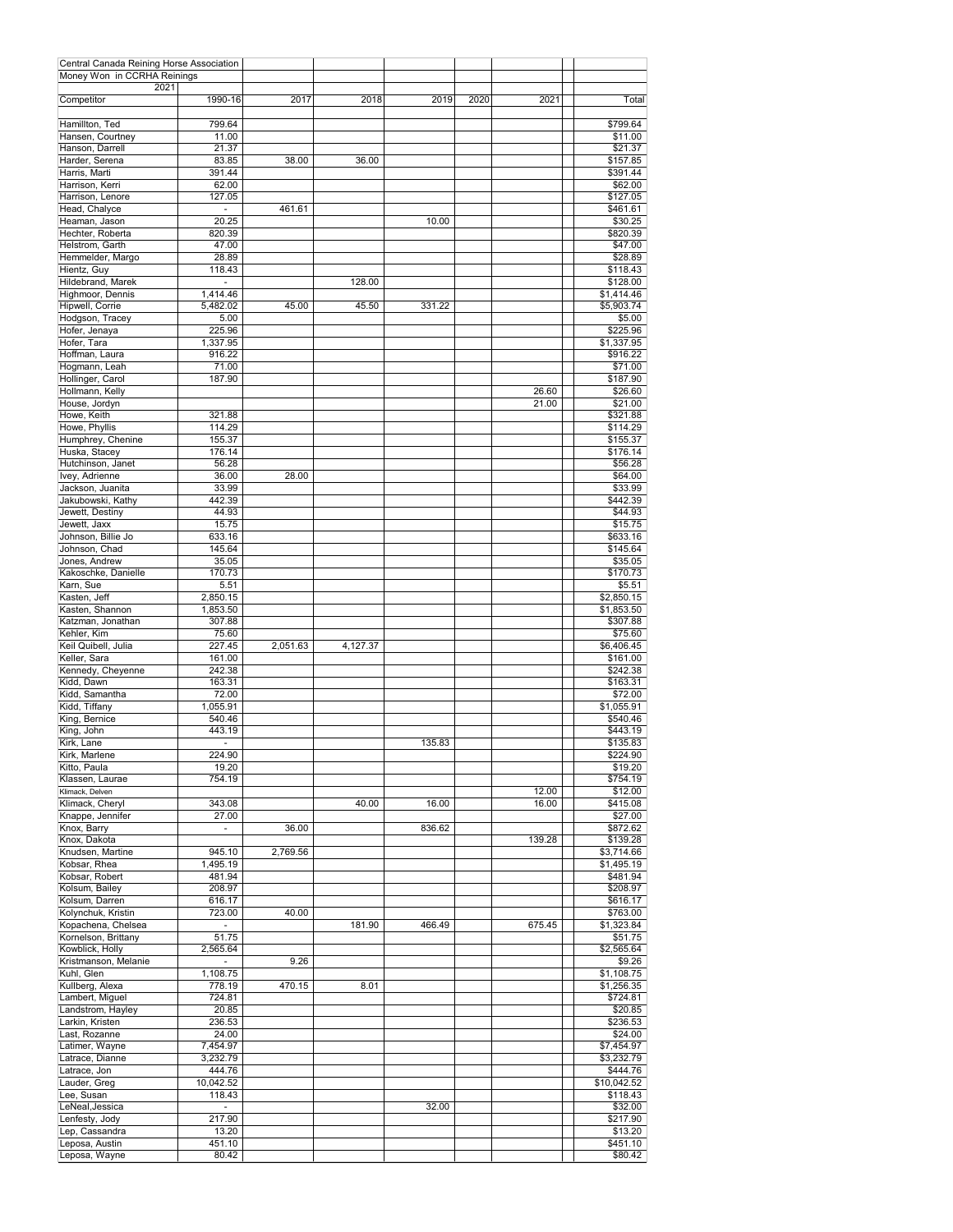| Central Canada Reining Horse Association |                |          |          |        |      |        |             |
|------------------------------------------|----------------|----------|----------|--------|------|--------|-------------|
| Money Won in CCRHA Reinings              |                |          |          |        |      |        |             |
| 2021                                     |                |          |          |        |      |        |             |
| Competitor                               | 1990-16        | 2017     | 2018     | 2019   | 2020 | 2021   | Total       |
|                                          |                |          |          |        |      |        |             |
| Hamillton, Ted                           | 799.64         |          |          |        |      |        | \$799.64    |
| Hansen, Courtney                         | 11.00          |          |          |        |      |        | \$11.00     |
| Hanson, Darrell                          | 21.37          |          |          |        |      |        | \$21.37     |
| Harder, Serena                           | 83.85          | 38.00    | 36.00    |        |      |        | \$157.85    |
| Harris, Marti                            | 391.44         |          |          |        |      |        | \$391.44    |
|                                          |                |          |          |        |      |        |             |
| Harrison, Kerri                          | 62.00          |          |          |        |      |        | \$62.00     |
| Harrison, Lenore                         | 127.05         |          |          |        |      |        | \$127.05    |
| Head, Chalyce                            | $\sim$         | 461.61   |          |        |      |        | \$461.61    |
| Heaman, Jason                            | 20.25          |          |          | 10.00  |      |        | \$30.25     |
| Hechter, Roberta                         | 820.39         |          |          |        |      |        | \$820.39    |
| Helstrom, Garth                          | 47.00          |          |          |        |      |        | \$47.00     |
| Hemmelder, Margo                         | 28.89          |          |          |        |      |        | \$28.89     |
| Hientz, Guy                              | 118.43         |          |          |        |      |        |             |
|                                          |                |          |          |        |      |        | \$118.43    |
| Hildebrand, Marek                        | ÷              |          | 128.00   |        |      |        | \$128.00    |
| Highmoor, Dennis                         | 1,414.46       |          |          |        |      |        | \$1,414.46  |
| Hipwell, Corrie                          | 5,482.02       | 45.00    | 45.50    | 331.22 |      |        | \$5,903.74  |
| Hodgson, Tracey                          | 5.00           |          |          |        |      |        | \$5.00      |
| Hofer, Jenaya                            | 225.96         |          |          |        |      |        | \$225.96    |
| Hofer, Tara                              | 1,337.95       |          |          |        |      |        | \$1,337.95  |
|                                          |                |          |          |        |      |        |             |
| Hoffman, Laura                           | 916.22         |          |          |        |      |        | \$916.22    |
| Hogmann, Leah                            | 71.00          |          |          |        |      |        | \$71.00     |
| Hollinger, Carol                         | 187.90         |          |          |        |      |        | \$187.90    |
| Hollmann, Kelly                          |                |          |          |        |      | 26.60  | \$26.60     |
| House, Jordyn                            |                |          |          |        |      | 21.00  | \$21.00     |
| Howe, Keith                              | 321.88         |          |          |        |      |        | \$321.88    |
| Howe, Phyllis                            | 114.29         |          |          |        |      |        | \$114.29    |
| Humphrey, Chenine                        | 155.37         |          |          |        |      |        | \$155.37    |
|                                          |                |          |          |        |      |        |             |
| Huska, Stacey                            | 176.14         |          |          |        |      |        | \$176.14    |
| Hutchinson, Janet                        | 56.28          |          |          |        |      |        | \$56.28     |
| Ivey, Adrienne                           | 36.00          | 28.00    |          |        |      |        | \$64.00     |
| Jackson, Juanita                         | 33.99          |          |          |        |      |        | \$33.99     |
| Jakubowski, Kathy                        | 442.39         |          |          |        |      |        | \$442.39    |
| Jewett, Destiny                          | 44.93          |          |          |        |      |        | \$44.93     |
|                                          |                |          |          |        |      |        |             |
| Jewett, Jaxx                             | 15.75          |          |          |        |      |        | \$15.75     |
| Johnson, Billie Jo                       | 633.16         |          |          |        |      |        | \$633.16    |
| Johnson, Chad                            | 145.64         |          |          |        |      |        | \$145.64    |
| Jones, Andrew                            | 35.05          |          |          |        |      |        | \$35.05     |
| Kakoschke, Danielle                      | 170.73         |          |          |        |      |        | \$170.73    |
| Karn, Sue                                | 5.51           |          |          |        |      |        | \$5.51      |
| Kasten, Jeff                             | 2,850.15       |          |          |        |      |        | \$2,850.15  |
| Kasten, Shannon                          | 1,853.50       |          |          |        |      |        | \$1,853.50  |
|                                          |                |          |          |        |      |        |             |
| Katzman, Jonathan                        | 307.88         |          |          |        |      |        | \$307.88    |
| Kehler, Kim                              | 75.60          |          |          |        |      |        | \$75.60     |
| Keil Quibell, Julia                      | 227.45         | 2,051.63 | 4,127.37 |        |      |        | \$6,406.45  |
| Keller, Sara                             | 161.00         |          |          |        |      |        | \$161.00    |
| Kennedy, Cheyenne                        | 242.38         |          |          |        |      |        | \$242.38    |
| Kidd, Dawn                               | 163.31         |          |          |        |      |        | \$163.31    |
| Kidd, Samantha                           | 72.00          |          |          |        |      |        | \$72.00     |
| Kidd, Tiffany                            | 1,055.91       |          |          |        |      |        |             |
|                                          |                |          |          |        |      |        | \$1,055.91  |
| King, Bernice                            | 540.46         |          |          |        |      |        | \$540.46    |
| King, John                               | 443.19         |          |          |        |      |        | \$443.19    |
| Kirk, Lane                               | ٠              |          |          | 135.83 |      |        | \$135.83    |
| Kirk, Marlene                            | 224.90         |          |          |        |      |        | \$224.90    |
| Kitto, Paula                             | 19.20          |          |          |        |      |        | \$19.20     |
| Klassen, Laurae                          | 754.19         |          |          |        |      |        | \$754.19    |
| Klimack, Delven                          |                |          |          |        |      | 12.00  | \$12.00     |
| Klimack, Cheryl                          | 343.08         |          | 40.00    | 16.00  |      | 16.00  | \$415.08    |
|                                          |                |          |          |        |      |        |             |
| Knappe, Jennifer                         | 27.00          |          |          |        |      |        | \$27.00     |
| Knox, Barry                              | ÷.             | 36.00    |          | 836.62 |      |        | \$872.62    |
| Knox, Dakota                             |                |          |          |        |      | 139.28 | \$139.28    |
| Knudsen, Martine                         | 945.10         | 2,769.56 |          |        |      |        | \$3,714.66  |
| Kobsar, Rhea                             | 1,495.19       |          |          |        |      |        | \$1,495.19  |
| Kobsar, Robert                           | 481.94         |          |          |        |      |        | \$481.94    |
| Kolsum, Bailey                           | 208.97         |          |          |        |      |        | \$208.97    |
| Kolsum, Darren                           | 616.17         |          |          |        |      |        | \$616.17    |
|                                          |                |          |          |        |      |        |             |
| Kolynchuk, Kristin                       | 723.00         | 40.00    |          |        |      |        | \$763.00    |
| Kopachena, Chelsea                       | $\blacksquare$ |          | 181.90   | 466.49 |      | 675.45 | \$1,323.84  |
| Kornelson, Brittany                      | 51.75          |          |          |        |      |        | \$51.75     |
| Kowblick, Holly                          | 2,565.64       |          |          |        |      |        | \$2,565.64  |
| Kristmanson, Melanie                     | $\sim$         | 9.26     |          |        |      |        | \$9.26      |
| Kuhl, Glen                               | 1,108.75       |          |          |        |      |        | \$1,108.75  |
| Kullberg, Alexa                          | 778.19         | 470.15   | 8.01     |        |      |        | \$1,256.35  |
| Lambert, Miguel                          | 724.81         |          |          |        |      |        | \$724.81    |
|                                          |                |          |          |        |      |        |             |
| Landstrom, Hayley                        | 20.85          |          |          |        |      |        | \$20.85     |
| Larkin, Kristen                          | 236.53         |          |          |        |      |        | \$236.53    |
| Last, Rozanne                            | 24.00          |          |          |        |      |        | \$24.00     |
| Latimer, Wayne                           | 7,454.97       |          |          |        |      |        | \$7,454.97  |
| Latrace, Dianne                          | 3,232.79       |          |          |        |      |        | \$3,232.79  |
| Latrace, Jon                             | 444.76         |          |          |        |      |        | \$444.76    |
| Lauder, Greg                             | 10,042.52      |          |          |        |      |        | \$10,042.52 |
|                                          |                |          |          |        |      |        |             |
| Lee, Susan                               | 118.43         |          |          |        |      |        | \$118.43    |
| LeNeal, Jessica                          | $\blacksquare$ |          |          | 32.00  |      |        | \$32.00     |
| Lenfesty, Jody                           | 217.90         |          |          |        |      |        | \$217.90    |
| Lep, Cassandra                           | 13.20          |          |          |        |      |        | \$13.20     |
| Leposa, Austin                           | 451.10         |          |          |        |      |        | \$451.10    |
| Leposa, Wayne                            | 80.42          |          |          |        |      |        | \$80.42     |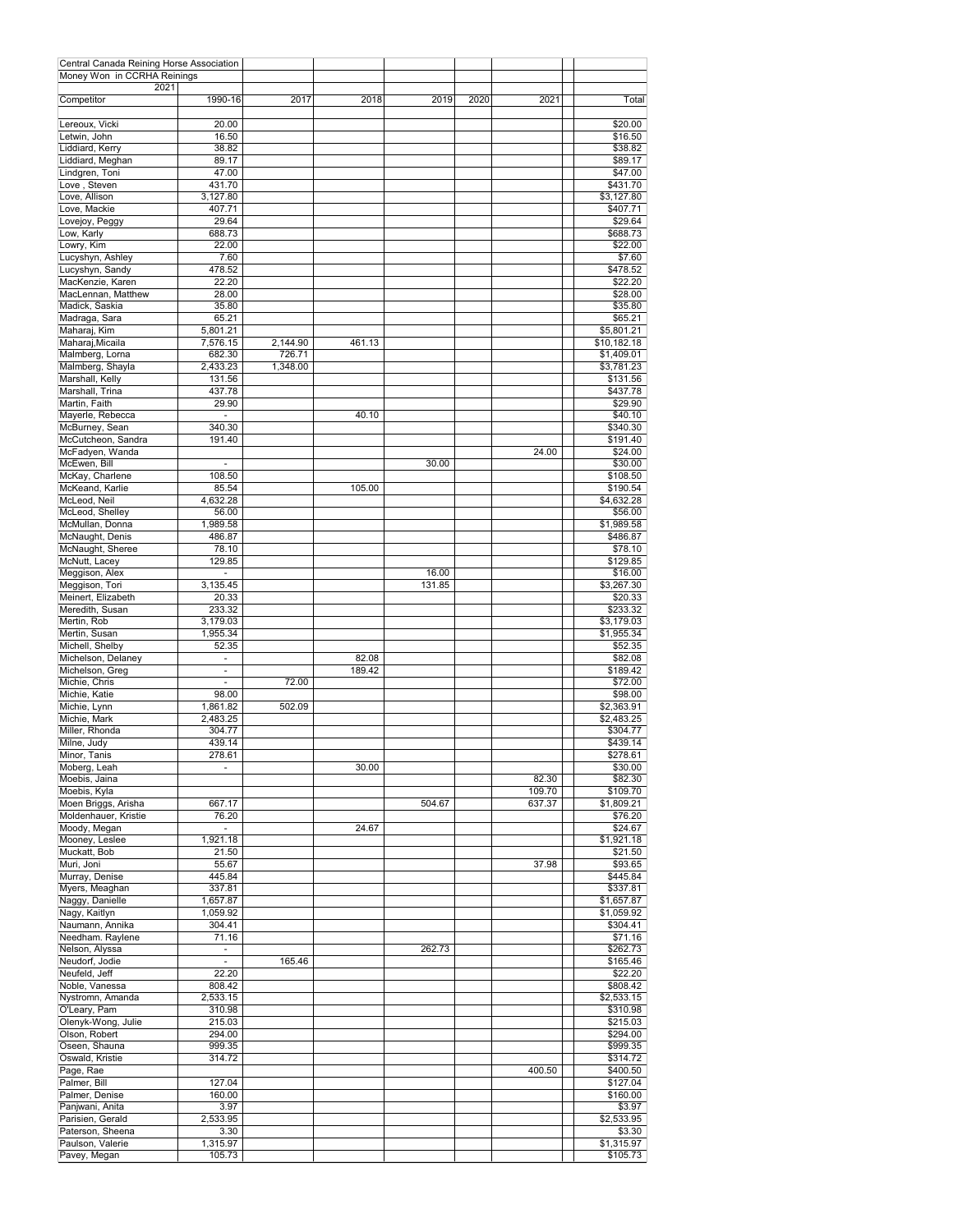| Central Canada Reining Horse Association |                                      |          |                 |                 |      |        |                        |
|------------------------------------------|--------------------------------------|----------|-----------------|-----------------|------|--------|------------------------|
| Money Won in CCRHA Reinings<br>2021      |                                      |          |                 |                 |      |        |                        |
| Competitor                               | 1990-16                              | 2017     | 2018            | 2019            | 2020 | 2021   | Total                  |
| Lereoux, Vicki                           | 20.00                                |          |                 |                 |      |        | \$20.00                |
| Letwin, John                             | 16.50                                |          |                 |                 |      |        | \$16.50                |
| Liddiard, Kerry                          | 38.82                                |          |                 |                 |      |        | \$38.82                |
| Liddiard, Meghan<br>Lindgren, Toni       | 89.17<br>47.00                       |          |                 |                 |      |        | \$89.17<br>\$47.00     |
| Love, Steven                             | 431.70                               |          |                 |                 |      |        | \$431.70               |
| Love, Allison                            | 3,127.80                             |          |                 |                 |      |        | \$3,127.80             |
| Love, Mackie                             | 407.71                               |          |                 |                 |      |        | \$407.71               |
| Lovejoy, Peggy                           | 29.64                                |          |                 |                 |      |        | \$29.64                |
| Low, Karly                               | 688.73                               |          |                 |                 |      |        | \$688.73               |
| Lowry, Kim<br>Lucyshyn, Ashley           | 22.00<br>7.60                        |          |                 |                 |      |        | \$22.00<br>\$7.60      |
| Lucyshyn, Sandy                          | 478.52                               |          |                 |                 |      |        | \$478.52               |
| MacKenzie, Karen                         | 22.20                                |          |                 |                 |      |        | \$22.20                |
| MacLennan, Matthew                       | 28.00                                |          |                 |                 |      |        | \$28.00                |
| Madick, Saskia<br>Madraga, Sara          | 35.80<br>65.21                       |          |                 |                 |      |        | \$35.80<br>\$65.21     |
| Maharaj, Kim                             | 5,801.21                             |          |                 |                 |      |        | \$5,801.21             |
| Maharaj, Micaila                         | 7,576.15                             | 2,144.90 | 461.13          |                 |      |        | \$10,182.18            |
| Malmberg, Lorna                          | 682.30                               | 726.71   |                 |                 |      |        | \$1,409.01             |
| Malmberg, Shayla                         | 2.433.23                             | 1,348.00 |                 |                 |      |        | \$3,781.23             |
| Marshall, Kelly                          | 131.56                               |          |                 |                 |      |        | \$131.56<br>\$437.78   |
| Marshall, Trina<br>Martin, Faith         | 437.78<br>29.90                      |          |                 |                 |      |        | \$29.90                |
| Mayerle, Rebecca                         | ä,                                   |          | 40.10           |                 |      |        | \$40.10                |
| McBurney, Sean                           | 340.30                               |          |                 |                 |      |        | \$340.30               |
| McCutcheon, Sandra                       | 191.40                               |          |                 |                 |      |        | \$191.40               |
| McFadyen, Wanda                          |                                      |          |                 |                 |      | 24.00  | \$24.00                |
| McEwen, Bill                             | $\overline{\phantom{a}}$             |          |                 | 30.00           |      |        | \$30.00                |
| McKay, Charlene<br>McKeand, Karlie       | 108.50<br>85.54                      |          | 105.00          |                 |      |        | \$108.50<br>\$190.54   |
| McLeod, Neil                             | 4,632.28                             |          |                 |                 |      |        | \$4,632.28             |
| McLeod, Shelley                          | 56.00                                |          |                 |                 |      |        | \$56.00                |
| McMullan, Donna                          | 1,989.58                             |          |                 |                 |      |        | \$1,989.58             |
| McNaught, Denis                          | 486.87                               |          |                 |                 |      |        | \$486.87               |
| McNaught, Sheree                         | 78.10                                |          |                 |                 |      |        | \$78.10                |
| McNutt, Lacey                            | 129.85<br>ä,                         |          |                 |                 |      |        | \$129.85               |
| Meggison, Alex<br>Meggison, Tori         | 3,135.45                             |          |                 | 16.00<br>131.85 |      |        | \$16.00<br>\$3,267.30  |
| Meinert, Elizabeth                       | 20.33                                |          |                 |                 |      |        | \$20.33                |
| Meredith, Susan                          | 233.32                               |          |                 |                 |      |        | \$233.32               |
| Mertin, Rob                              | 3,179.03                             |          |                 |                 |      |        | \$3,179.03             |
| Mertin, Susan                            | 1,955.34                             |          |                 |                 |      |        | \$1,955.34             |
| Michell, Shelby                          | 52.35                                |          |                 |                 |      |        | \$52.35                |
| Michelson, Delaney<br>Michelson, Greg    | $\overline{\phantom{a}}$<br>L.       |          | 82.08<br>189.42 |                 |      |        | \$82.08<br>\$189.42    |
| Michie, Chris                            | ÷,                                   | 72.00    |                 |                 |      |        | \$72.00                |
| Michie, Katie                            | 98.00                                |          |                 |                 |      |        | \$98.00                |
| Michie, Lynn                             | 1,861.82                             | 502.09   |                 |                 |      |        | \$2,363.91             |
| Michie, Mark                             | 2,483.25                             |          |                 |                 |      |        | \$2,483.25             |
| Miller, Rhonda                           | 304.77                               |          |                 |                 |      |        | \$304.77               |
| Milne, Judy<br>Minor, Tanis              | 439.14<br>278.61                     |          |                 |                 |      |        | \$439.14<br>\$278.61   |
| Moberg, Leah                             | ä,                                   |          | 30.00           |                 |      |        | \$30.00                |
| Moebis, Jaina                            |                                      |          |                 |                 |      | 82.30  | \$82.30                |
| Moebis, Kyla                             |                                      |          |                 |                 |      | 109.70 | \$109.70               |
| Moen Briggs, Arisha                      | 667.17                               |          |                 | 504.67          |      | 637.37 | \$1,809.21             |
| Moldenhauer, Kristie                     | 76.20<br>$\mathcal{L}_{\mathcal{A}}$ |          |                 |                 |      |        | \$76.20                |
| Moody, Megan<br>Mooney, Leslee           | 1,921.18                             |          | 24.67           |                 |      |        | \$24.67<br>\$1,921.18  |
| Muckatt, Bob                             | 21.50                                |          |                 |                 |      |        | \$21.50                |
| Muri, Joni                               | 55.67                                |          |                 |                 |      | 37.98  | \$93.65                |
| Murray, Denise                           | 445.84                               |          |                 |                 |      |        | \$445.84               |
| Myers, Meaghan                           | 337.81                               |          |                 |                 |      |        | \$337.81               |
| Naggy, Danielle                          | 1,657.87                             |          |                 |                 |      |        | \$1,657.87             |
| Nagy, Kaitlyn<br>Naumann, Annika         | 1,059.92<br>304.41                   |          |                 |                 |      |        | \$1,059.92<br>\$304.41 |
| Needham. Raylene                         | 71.16                                |          |                 |                 |      |        | \$71.16                |
| Nelson, Alyssa                           | $\blacksquare$                       |          |                 | 262.73          |      |        | \$262.73               |
| Neudorf, Jodie                           | $\overline{\phantom{a}}$             | 165.46   |                 |                 |      |        | \$165.46               |
| Neufeld, Jeff                            | 22.20                                |          |                 |                 |      |        | \$22.20                |
| Noble, Vanessa                           | 808.42                               |          |                 |                 |      |        | \$808.42               |
| Nystromn, Amanda<br>O'Leary, Pam         | 2,533.15<br>310.98                   |          |                 |                 |      |        | \$2,533.15<br>\$310.98 |
| Olenyk-Wong, Julie                       | 215.03                               |          |                 |                 |      |        | \$215.03               |
| Olson, Robert                            | 294.00                               |          |                 |                 |      |        | \$294.00               |
| Oseen, Shauna                            | 999.35                               |          |                 |                 |      |        | \$999.35               |
| Oswald, Kristie                          | 314.72                               |          |                 |                 |      |        | \$314.72               |
| Page, Rae                                |                                      |          |                 |                 |      | 400.50 | \$400.50               |
| Palmer, Bill<br>Palmer, Denise           | 127.04<br>160.00                     |          |                 |                 |      |        | \$127.04<br>\$160.00   |
| Panjwani, Anita                          | 3.97                                 |          |                 |                 |      |        | \$3.97                 |
| Parisien, Gerald                         | 2,533.95                             |          |                 |                 |      |        | \$2,533.95             |
| Paterson, Sheena                         | 3.30                                 |          |                 |                 |      |        | \$3.30                 |
| Paulson, Valerie                         | 1,315.97                             |          |                 |                 |      |        | \$1,315.97             |
| Pavey, Megan                             | 105.73                               |          |                 |                 |      |        | \$105.73               |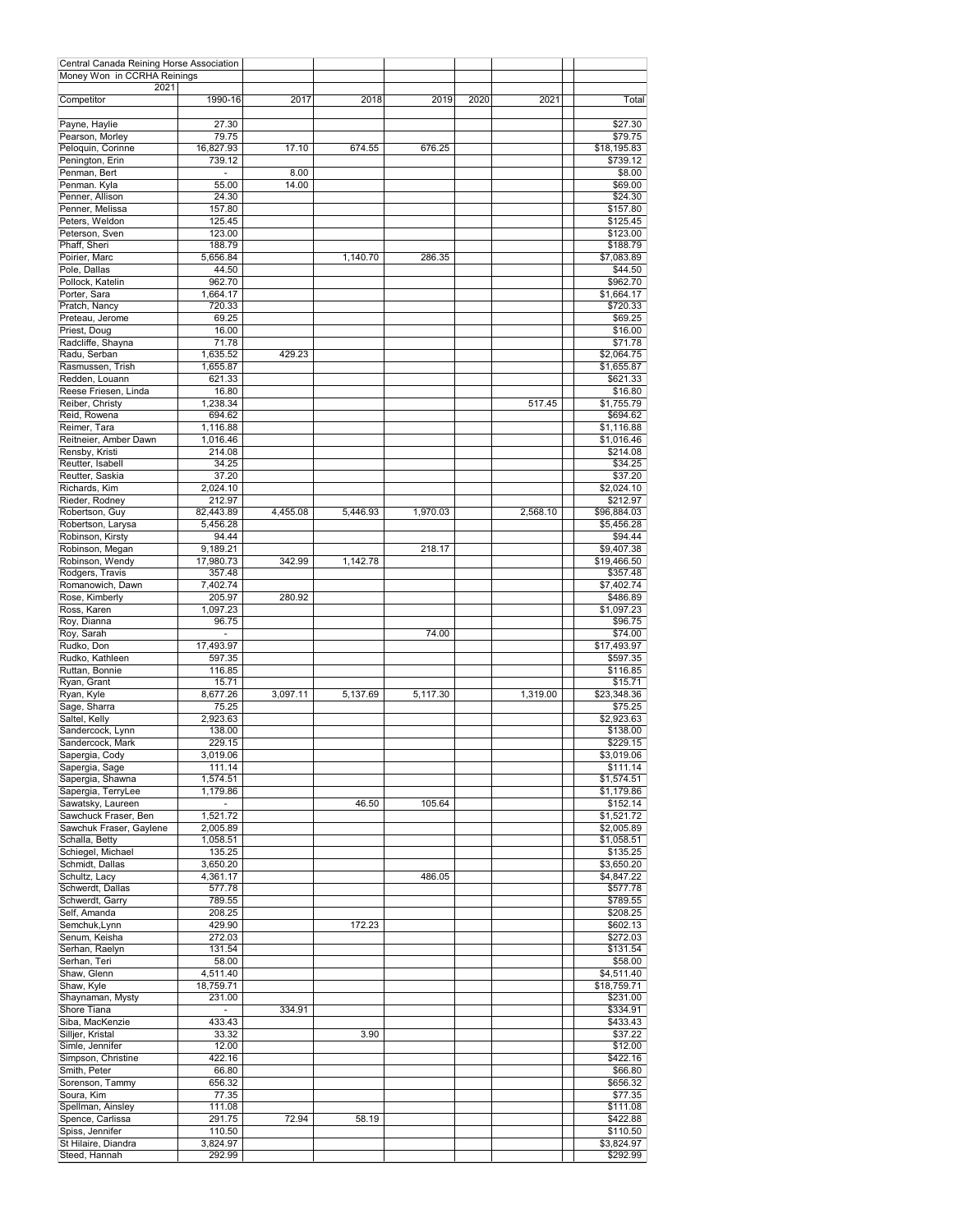| Central Canada Reining Horse Association  |                      |          |          |          |      |          |                          |
|-------------------------------------------|----------------------|----------|----------|----------|------|----------|--------------------------|
| Money Won in CCRHA Reinings               |                      |          |          |          |      |          |                          |
| 2021                                      |                      |          |          |          |      |          |                          |
| Competitor                                | 1990-16              | 2017     | 2018     | 2019     | 2020 | 2021     | Total                    |
|                                           |                      |          |          |          |      |          |                          |
| Payne, Haylie                             | 27.30                |          |          |          |      |          | \$27.30                  |
| Pearson, Morley                           | 79.75                |          |          |          |      |          | \$79.75                  |
| Peloquin, Corinne<br>Penington, Erin      | 16,827.93            | 17.10    | 674.55   | 676.25   |      |          | \$18,195.83<br>\$739.12  |
|                                           | 739.12               |          |          |          |      |          |                          |
| Penman, Bert<br>Penman. Kyla              | $\blacksquare$       | 8.00     |          |          |      |          | \$8.00                   |
| Penner, Allison                           | 55.00<br>24.30       | 14.00    |          |          |      |          | \$69.00<br>\$24.30       |
|                                           |                      |          |          |          |      |          |                          |
| Penner, Melissa<br>Peters, Weldon         | 157.80               |          |          |          |      |          | \$157.80                 |
|                                           | 125.45               |          |          |          |      |          | \$125.45                 |
| Peterson, Sven                            | 123.00               |          |          |          |      |          | \$123.00                 |
| Phaff, Sheri                              | 188.79               |          |          |          |      |          | \$188.79                 |
| Poirier, Marc                             | 5,656.84             |          | 1,140.70 | 286.35   |      |          | \$7,083.89               |
| Pole, Dallas                              | 44.50                |          |          |          |      |          | \$44.50                  |
| Pollock, Katelin                          | 962.70               |          |          |          |      |          | \$962.70                 |
| Porter, Sara                              | 1,664.17             |          |          |          |      |          | \$1,664.17               |
| Pratch, Nancy                             | 720.33               |          |          |          |      |          | \$720.33                 |
| Preteau, Jerome                           | 69.25                |          |          |          |      |          | \$69.25                  |
| Priest, Doug                              | 16.00                |          |          |          |      |          | \$16.00                  |
| Radcliffe, Shayna                         | 71.78                |          |          |          |      |          | \$71.78                  |
| Radu, Serban                              | 1,635.52             | 429.23   |          |          |      |          | \$2,064.75               |
| Rasmussen, Trish                          | 1,655.87             |          |          |          |      |          | \$1,655.87               |
| Redden, Louann                            | 621.33               |          |          |          |      |          | \$621.33                 |
| Reese Friesen, Linda                      | 16.80                |          |          |          |      |          | \$16.80                  |
| Reiber, Christv                           | 1,238.34             |          |          |          |      | 517.45   | \$1,755.79               |
| Reid, Rowena                              | 694.62               |          |          |          |      |          | \$694.62                 |
| Reimer, Tara                              | 1,116.88             |          |          |          |      |          | $\overline{$}1,116.88$   |
| Reitneier, Amber Dawn                     | 1,016.46             |          |          |          |      |          | \$1,016.46               |
| Rensby, Kristi                            | 214.08               |          |          |          |      |          | \$214.08                 |
| Reutter, Isabell                          | 34.25                |          |          |          |      |          | \$34.25                  |
| Reutter, Saskia                           | 37.20                |          |          |          |      |          | \$37.20                  |
| Richards, Kim                             | 2,024.10             |          |          |          |      |          | \$2,024.10               |
| Rieder, Rodney                            | 212.97               |          |          |          |      |          | \$212.97                 |
| Robertson, Guy                            | 82,443.89            | 4,455.08 | 5,446.93 | 1,970.03 |      | 2,568.10 | \$96,884.03              |
| Robertson, Larysa                         | 5,456.28             |          |          |          |      |          | \$5,456.28               |
| Robinson, Kirsty                          | 94.44                |          |          |          |      |          | \$94.44                  |
| Robinson, Megan                           | 9,189.21             |          |          | 218.17   |      |          | \$9,407.38               |
| Robinson, Wendy                           | 17,980.73            | 342.99   | 1,142.78 |          |      |          | \$19,466.50              |
| Rodgers, Travis                           | 357.48               |          |          |          |      |          | \$357.48                 |
| Romanowich, Dawn                          | 7,402.74             |          |          |          |      |          | \$7,402.74               |
| Rose, Kimberly                            | 205.97               | 280.92   |          |          |      |          | \$486.89                 |
| Ross, Karen                               | 1,097.23             |          |          |          |      |          | \$1,097.23               |
| Roy, Dianna                               | 96.75                |          |          |          |      |          | \$96.75                  |
| Roy, Sarah                                |                      |          |          | 74.00    |      |          | \$74.00                  |
| Rudko, Don                                | 17,493.97            |          |          |          |      |          | \$17,493.97              |
| Rudko, Kathleen                           | 597.35               |          |          |          |      |          | \$597.35                 |
| Ruttan, Bonnie                            | 116.85               |          |          |          |      |          | \$116.85                 |
| Ryan, Grant                               | 15.71                |          |          |          |      |          | \$15.71                  |
| Ryan, Kyle                                | 8,677.26             | 3,097.11 | 5,137.69 | 5,117.30 |      | 1,319.00 | \$23,348.36              |
| Sage, Sharra                              | 75.25                |          |          |          |      |          | \$75.25                  |
| Saltel, Kelly                             | 2,923.63             |          |          |          |      |          | \$2,923.63               |
| Sandercock, Lynn                          | 138.00               |          |          |          |      |          | \$138.00                 |
| Sandercock, Mark                          | 229.15               |          |          |          |      |          | \$229.15                 |
| Sapergia, Cody                            | 3,019.06             |          |          |          |      |          | \$3,019.06               |
| Sapergia, Sage                            | 111.14               |          |          |          |      |          | \$111.14                 |
|                                           | 1,574.51             |          |          |          |      |          |                          |
| Sapergia, Shawna<br>Sapergia, TerryLee    | 1,179.86             |          |          |          |      |          | \$1,574.51<br>\$1,179.86 |
|                                           |                      |          | 46.50    | 105.64   |      |          |                          |
| Sawatsky, Laureen<br>Sawchuck Fraser, Ben | $\sim$               |          |          |          |      |          | \$152.14                 |
| Sawchuk Fraser, Gaylene                   | 1,521.72             |          |          |          |      |          | \$1,521.72               |
| Schalla, Betty                            | 2,005.89<br>1,058.51 |          |          |          |      |          | \$2,005.89<br>\$1,058.51 |
| Schiegel, Michael                         | 135.25               |          |          |          |      |          | \$135.25                 |
| Schmidt, Dallas                           |                      |          |          |          |      |          |                          |
|                                           | 3,650.20             |          |          |          |      |          | \$3,650.20<br>\$4,847.22 |
| Schultz, Lacy                             | 4,361.17             |          |          | 486.05   |      |          |                          |
| Schwerdt, Dallas                          | 577.78               |          |          |          |      |          | \$577.78                 |
| Schwerdt, Garry                           | 789.55               |          |          |          |      |          | \$789.55                 |
| Self, Amanda                              | 208.25               |          |          |          |      |          | \$208.25                 |
| Semchuk, Lynn                             | 429.90               |          | 172.23   |          |      |          | \$602.13                 |
| Senum, Keisha                             | 272.03               |          |          |          |      |          | \$272.03                 |
| Serhan, Raelyn                            | 131.54               |          |          |          |      |          | \$131.54                 |
| Serhan, Teri                              | 58.00                |          |          |          |      |          | \$58.00                  |
| Shaw, Glenn                               | 4,511.40             |          |          |          |      |          | \$4,511.40               |
| Shaw, Kyle                                | 18,759.71            |          |          |          |      |          | \$18,759.71              |
| Shaynaman, Mysty                          | 231.00               |          |          |          |      |          | \$231.00                 |
| Shore Tiana                               | $\sim$               | 334.91   |          |          |      |          | \$334.91                 |
| Siba, MacKenzie                           | 433.43               |          |          |          |      |          | \$433.43                 |
| Silljer, Kristal                          | 33.32                |          | 3.90     |          |      |          | \$37.22                  |
| Simle, Jennifer                           | 12.00                |          |          |          |      |          | \$12.00                  |
| Simpson, Christine                        | 422.16               |          |          |          |      |          | \$422.16                 |
| Smith, Peter                              | 66.80                |          |          |          |      |          | \$66.80                  |
| Sorenson, Tammy                           | 656.32               |          |          |          |      |          | \$656.32                 |
| Soura, Kim                                | 77.35                |          |          |          |      |          | \$77.35                  |
| Spellman, Ainsley                         | 111.08               |          |          |          |      |          | \$111.08                 |
| Spence, Carlissa                          | 291.75               | 72.94    | 58.19    |          |      |          | \$422.88                 |
| Spiss, Jennifer                           | 110.50               |          |          |          |      |          | \$110.50                 |
| St Hilaire, Diandra                       | 3,824.97             |          |          |          |      |          | \$3,824.97               |
| Steed, Hannah                             | 292.99               |          |          |          |      |          | \$292.99                 |